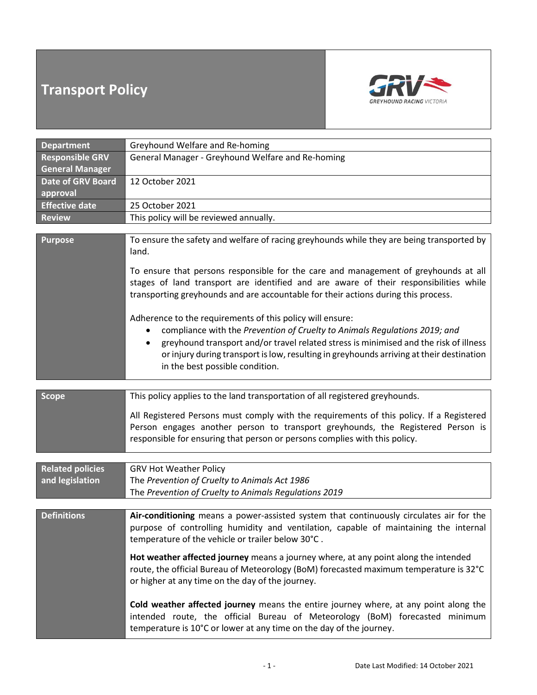# **Transport Policy**



| <b>Department</b>        | Greyhound Welfare and Re-homing                                                                                                                                                                                                                                                                                                                                                           |  |  |  |
|--------------------------|-------------------------------------------------------------------------------------------------------------------------------------------------------------------------------------------------------------------------------------------------------------------------------------------------------------------------------------------------------------------------------------------|--|--|--|
| <b>Responsible GRV</b>   | General Manager - Greyhound Welfare and Re-homing                                                                                                                                                                                                                                                                                                                                         |  |  |  |
| <b>General Manager</b>   |                                                                                                                                                                                                                                                                                                                                                                                           |  |  |  |
| <b>Date of GRV Board</b> | 12 October 2021                                                                                                                                                                                                                                                                                                                                                                           |  |  |  |
| approval                 |                                                                                                                                                                                                                                                                                                                                                                                           |  |  |  |
| <b>Effective date</b>    | 25 October 2021                                                                                                                                                                                                                                                                                                                                                                           |  |  |  |
| <b>Review</b>            | This policy will be reviewed annually.                                                                                                                                                                                                                                                                                                                                                    |  |  |  |
|                          |                                                                                                                                                                                                                                                                                                                                                                                           |  |  |  |
| <b>Purpose</b>           | To ensure the safety and welfare of racing greyhounds while they are being transported by<br>land.                                                                                                                                                                                                                                                                                        |  |  |  |
|                          | To ensure that persons responsible for the care and management of greyhounds at all<br>stages of land transport are identified and are aware of their responsibilities while<br>transporting greyhounds and are accountable for their actions during this process.                                                                                                                        |  |  |  |
|                          | Adherence to the requirements of this policy will ensure:<br>compliance with the Prevention of Cruelty to Animals Regulations 2019; and<br>$\bullet$<br>greyhound transport and/or travel related stress is minimised and the risk of illness<br>$\bullet$<br>or injury during transport is low, resulting in greyhounds arriving at their destination<br>in the best possible condition. |  |  |  |
|                          |                                                                                                                                                                                                                                                                                                                                                                                           |  |  |  |
| <b>Scope</b>             | This policy applies to the land transportation of all registered greyhounds.                                                                                                                                                                                                                                                                                                              |  |  |  |
|                          | All Registered Persons must comply with the requirements of this policy. If a Registered<br>Person engages another person to transport greyhounds, the Registered Person is<br>responsible for ensuring that person or persons complies with this policy.                                                                                                                                 |  |  |  |
|                          |                                                                                                                                                                                                                                                                                                                                                                                           |  |  |  |
| <b>Related policies</b>  | <b>GRV Hot Weather Policy</b>                                                                                                                                                                                                                                                                                                                                                             |  |  |  |
| and legislation          | The Prevention of Cruelty to Animals Act 1986                                                                                                                                                                                                                                                                                                                                             |  |  |  |
|                          | The Prevention of Cruelty to Animals Regulations 2019                                                                                                                                                                                                                                                                                                                                     |  |  |  |

| <b>Definitions</b> | Air-conditioning means a power-assisted system that continuously circulates air for the |
|--------------------|-----------------------------------------------------------------------------------------|
|                    | purpose of controlling humidity and ventilation, capable of maintaining the internal    |
|                    | 1 temperature of the vehicle or trailer below 30°C.                                     |

**Hot weather affected journey** means a journey where, at any point along the intended route, the official Bureau of Meteorology (BoM) forecasted maximum temperature is 32°C or higher at any time on the day of the journey.

**Cold weather affected journey** means the entire journey where, at any point along the intended route, the official Bureau of Meteorology (BoM) forecasted minimum temperature is 10°C or lower at any time on the day of the journey.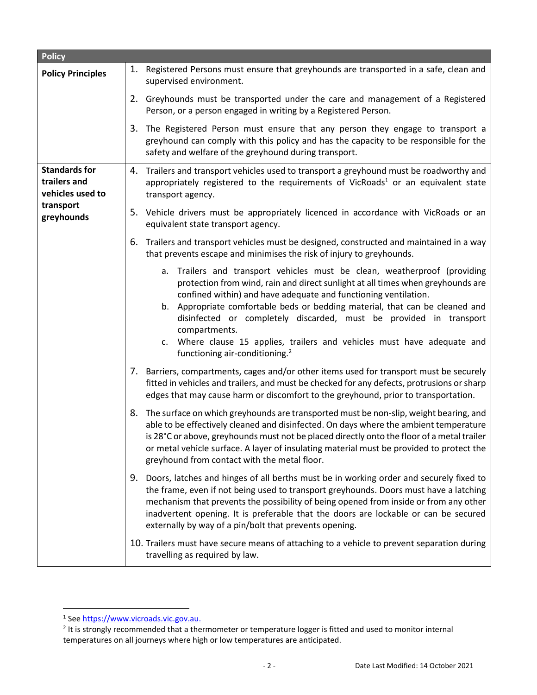| <b>Policy</b>                                            |                                                                                                                                                                                                                                                                                                                                                                                                                                                                                                                                  |
|----------------------------------------------------------|----------------------------------------------------------------------------------------------------------------------------------------------------------------------------------------------------------------------------------------------------------------------------------------------------------------------------------------------------------------------------------------------------------------------------------------------------------------------------------------------------------------------------------|
| <b>Policy Principles</b>                                 | 1. Registered Persons must ensure that greyhounds are transported in a safe, clean and<br>supervised environment.                                                                                                                                                                                                                                                                                                                                                                                                                |
|                                                          | 2. Greyhounds must be transported under the care and management of a Registered<br>Person, or a person engaged in writing by a Registered Person.                                                                                                                                                                                                                                                                                                                                                                                |
|                                                          | 3. The Registered Person must ensure that any person they engage to transport a<br>greyhound can comply with this policy and has the capacity to be responsible for the<br>safety and welfare of the greyhound during transport.                                                                                                                                                                                                                                                                                                 |
| <b>Standards for</b><br>trailers and<br>vehicles used to | 4. Trailers and transport vehicles used to transport a greyhound must be roadworthy and<br>appropriately registered to the requirements of VicRoads <sup>1</sup> or an equivalent state<br>transport agency.                                                                                                                                                                                                                                                                                                                     |
| transport<br>greyhounds                                  | 5. Vehicle drivers must be appropriately licenced in accordance with VicRoads or an<br>equivalent state transport agency.                                                                                                                                                                                                                                                                                                                                                                                                        |
|                                                          | Trailers and transport vehicles must be designed, constructed and maintained in a way<br>6.<br>that prevents escape and minimises the risk of injury to greyhounds.                                                                                                                                                                                                                                                                                                                                                              |
|                                                          | a. Trailers and transport vehicles must be clean, weatherproof (providing<br>protection from wind, rain and direct sunlight at all times when greyhounds are<br>confined within) and have adequate and functioning ventilation.<br>b. Appropriate comfortable beds or bedding material, that can be cleaned and<br>disinfected or completely discarded, must be provided in transport<br>compartments.<br>c. Where clause 15 applies, trailers and vehicles must have adequate and<br>functioning air-conditioning. <sup>2</sup> |
|                                                          | 7. Barriers, compartments, cages and/or other items used for transport must be securely<br>fitted in vehicles and trailers, and must be checked for any defects, protrusions or sharp<br>edges that may cause harm or discomfort to the greyhound, prior to transportation.                                                                                                                                                                                                                                                      |
|                                                          | 8. The surface on which greyhounds are transported must be non-slip, weight bearing, and<br>able to be effectively cleaned and disinfected. On days where the ambient temperature<br>is 28°C or above, greyhounds must not be placed directly onto the floor of a metal trailer<br>or metal vehicle surface. A layer of insulating material must be provided to protect the<br>greyhound from contact with the metal floor.                                                                                                      |
|                                                          | Doors, latches and hinges of all berths must be in working order and securely fixed to<br>9.<br>the frame, even if not being used to transport greyhounds. Doors must have a latching<br>mechanism that prevents the possibility of being opened from inside or from any other<br>inadvertent opening. It is preferable that the doors are lockable or can be secured<br>externally by way of a pin/bolt that prevents opening.                                                                                                  |
|                                                          | 10. Trailers must have secure means of attaching to a vehicle to prevent separation during<br>travelling as required by law.                                                                                                                                                                                                                                                                                                                                                                                                     |

<sup>&</sup>lt;sup>1</sup> See [https://www.vicroads.vic.gov.au.](https://www.vicroads.vic.gov.au/)

 $2$  It is strongly recommended that a thermometer or temperature logger is fitted and used to monitor internal temperatures on all journeys where high or low temperatures are anticipated.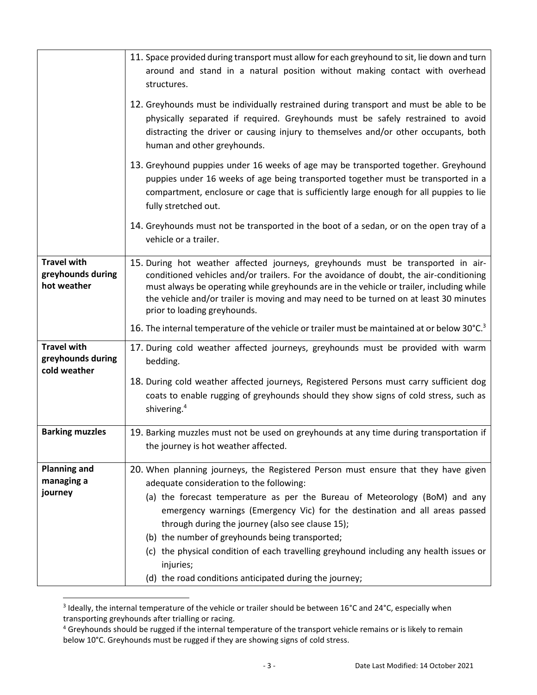|                                                         | 11. Space provided during transport must allow for each greyhound to sit, lie down and turn<br>around and stand in a natural position without making contact with overhead<br>structures.                                                                                                                                                                                                                                                                                                     |
|---------------------------------------------------------|-----------------------------------------------------------------------------------------------------------------------------------------------------------------------------------------------------------------------------------------------------------------------------------------------------------------------------------------------------------------------------------------------------------------------------------------------------------------------------------------------|
|                                                         | 12. Greyhounds must be individually restrained during transport and must be able to be<br>physically separated if required. Greyhounds must be safely restrained to avoid<br>distracting the driver or causing injury to themselves and/or other occupants, both<br>human and other greyhounds.                                                                                                                                                                                               |
|                                                         | 13. Greyhound puppies under 16 weeks of age may be transported together. Greyhound<br>puppies under 16 weeks of age being transported together must be transported in a<br>compartment, enclosure or cage that is sufficiently large enough for all puppies to lie<br>fully stretched out.                                                                                                                                                                                                    |
|                                                         | 14. Greyhounds must not be transported in the boot of a sedan, or on the open tray of a<br>vehicle or a trailer.                                                                                                                                                                                                                                                                                                                                                                              |
| <b>Travel with</b><br>greyhounds during<br>hot weather  | 15. During hot weather affected journeys, greyhounds must be transported in air-<br>conditioned vehicles and/or trailers. For the avoidance of doubt, the air-conditioning<br>must always be operating while greyhounds are in the vehicle or trailer, including while<br>the vehicle and/or trailer is moving and may need to be turned on at least 30 minutes<br>prior to loading greyhounds.                                                                                               |
|                                                         | 16. The internal temperature of the vehicle or trailer must be maintained at or below 30°C. <sup>3</sup>                                                                                                                                                                                                                                                                                                                                                                                      |
| <b>Travel with</b><br>greyhounds during<br>cold weather | 17. During cold weather affected journeys, greyhounds must be provided with warm<br>bedding.                                                                                                                                                                                                                                                                                                                                                                                                  |
|                                                         | 18. During cold weather affected journeys, Registered Persons must carry sufficient dog<br>coats to enable rugging of greyhounds should they show signs of cold stress, such as<br>shivering. <sup>4</sup>                                                                                                                                                                                                                                                                                    |
| <b>Barking muzzles</b>                                  | 19. Barking muzzles must not be used on greyhounds at any time during transportation if<br>the journey is hot weather affected.                                                                                                                                                                                                                                                                                                                                                               |
| <b>Planning and</b><br>managing a<br>journey            | 20. When planning journeys, the Registered Person must ensure that they have given<br>adequate consideration to the following:<br>(a) the forecast temperature as per the Bureau of Meteorology (BoM) and any<br>emergency warnings (Emergency Vic) for the destination and all areas passed<br>through during the journey (also see clause 15);<br>(b) the number of greyhounds being transported;<br>(c) the physical condition of each travelling greyhound including any health issues or |
|                                                         | injuries;<br>(d) the road conditions anticipated during the journey;                                                                                                                                                                                                                                                                                                                                                                                                                          |

<sup>3</sup> Ideally, the internal temperature of the vehicle or trailer should be between 16°C and 24°C, especially when transporting greyhounds after trialling or racing.

<sup>&</sup>lt;sup>4</sup> Greyhounds should be rugged if the internal temperature of the transport vehicle remains or is likely to remain below 10°C. Greyhounds must be rugged if they are showing signs of cold stress.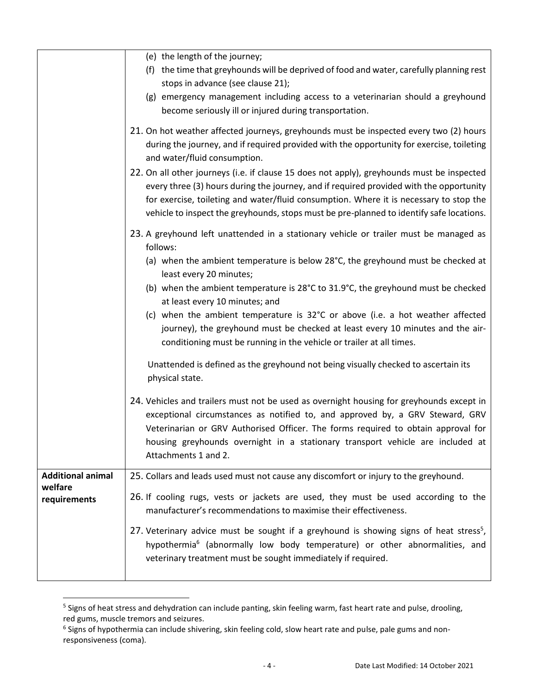|                                                     | (e) the length of the journey;<br>(f) the time that greyhounds will be deprived of food and water, carefully planning rest<br>stops in advance (see clause 21);<br>(g) emergency management including access to a veterinarian should a greyhound<br>become seriously ill or injured during transportation.                                                                 |
|-----------------------------------------------------|-----------------------------------------------------------------------------------------------------------------------------------------------------------------------------------------------------------------------------------------------------------------------------------------------------------------------------------------------------------------------------|
|                                                     | 21. On hot weather affected journeys, greyhounds must be inspected every two (2) hours<br>during the journey, and if required provided with the opportunity for exercise, toileting<br>and water/fluid consumption.                                                                                                                                                         |
|                                                     | 22. On all other journeys (i.e. if clause 15 does not apply), greyhounds must be inspected<br>every three (3) hours during the journey, and if required provided with the opportunity<br>for exercise, toileting and water/fluid consumption. Where it is necessary to stop the<br>vehicle to inspect the greyhounds, stops must be pre-planned to identify safe locations. |
|                                                     | 23. A greyhound left unattended in a stationary vehicle or trailer must be managed as<br>follows:<br>(a) when the ambient temperature is below 28°C, the greyhound must be checked at                                                                                                                                                                                       |
|                                                     | least every 20 minutes;<br>(b) when the ambient temperature is 28°C to 31.9°C, the greyhound must be checked<br>at least every 10 minutes; and<br>(c) when the ambient temperature is 32°C or above (i.e. a hot weather affected<br>journey), the greyhound must be checked at least every 10 minutes and the air-                                                          |
|                                                     | conditioning must be running in the vehicle or trailer at all times.<br>Unattended is defined as the greyhound not being visually checked to ascertain its<br>physical state.                                                                                                                                                                                               |
|                                                     | 24. Vehicles and trailers must not be used as overnight housing for greyhounds except in<br>exceptional circumstances as notified to, and approved by, a GRV Steward, GRV<br>Veterinarian or GRV Authorised Officer. The forms required to obtain approval for<br>housing greyhounds overnight in a stationary transport vehicle are included at<br>Attachments 1 and 2.    |
| <b>Additional animal</b><br>welfare<br>requirements | 25. Collars and leads used must not cause any discomfort or injury to the greyhound.<br>26. If cooling rugs, vests or jackets are used, they must be used according to the<br>manufacturer's recommendations to maximise their effectiveness.                                                                                                                               |
|                                                     | 27. Veterinary advice must be sought if a greyhound is showing signs of heat stress <sup>5</sup> ,<br>hypothermia <sup>6</sup> (abnormally low body temperature) or other abnormalities, and<br>veterinary treatment must be sought immediately if required.                                                                                                                |

<sup>&</sup>lt;sup>5</sup> Signs of heat stress and dehydration can include panting, skin feeling warm, fast heart rate and pulse, drooling, red gums, muscle tremors and seizures.

<sup>6</sup> Signs of hypothermia can include shivering, skin feeling cold, slow heart rate and pulse, pale gums and nonresponsiveness (coma).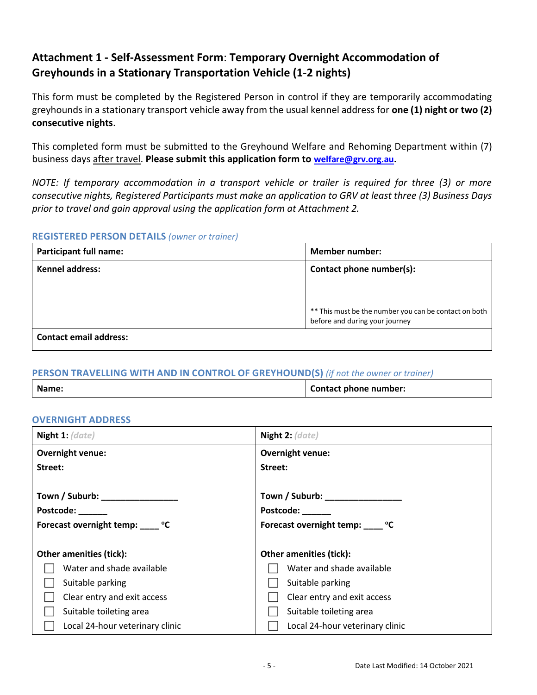# **Attachment 1 - Self-Assessment Form**: **Temporary Overnight Accommodation of Greyhounds in a Stationary Transportation Vehicle (1-2 nights)**

This form must be completed by the Registered Person in control if they are temporarily accommodating greyhounds in a stationary transport vehicle away from the usual kennel address for **one (1) night or two (2) consecutive nights**.

This completed form must be submitted to the Greyhound Welfare and Rehoming Department within (7) business days after travel. **Please submit this application form to [welfare@grv.org.au.](mailto:welfare@grv.org.au)**

*NOTE: If temporary accommodation in a transport vehicle or trailer is required for three (3) or more consecutive nights, Registered Participants must make an application to GRV at least three (3) Business Days prior to travel and gain approval using the application form at Attachment 2.*

### **REGISTERED PERSON DETAILS** *(owner or trainer)*

| <b>Participant full name:</b> | <b>Member number:</b>                                                                   |
|-------------------------------|-----------------------------------------------------------------------------------------|
| <b>Kennel address:</b>        | Contact phone number(s):                                                                |
|                               |                                                                                         |
|                               |                                                                                         |
|                               | ** This must be the number you can be contact on both<br>before and during your journey |
| <b>Contact email address:</b> |                                                                                         |

### **PERSON TRAVELLING WITH AND IN CONTROL OF GREYHOUND(S)** *(if not the owner or trainer)*

| Name: | Contact phone number: |
|-------|-----------------------|

### **OVERNIGHT ADDRESS**

| Night 1: $rare)$                               | Night 2: (date)                                                            |  |
|------------------------------------------------|----------------------------------------------------------------------------|--|
| <b>Overnight venue:</b>                        | Overnight venue:                                                           |  |
| Street:                                        | Street:                                                                    |  |
| <b>Postcode:</b><br>Forecast overnight temp: C | Town / Suburb: ________________<br>Postcode:<br>Forecast overnight temp: 0 |  |
| <b>Other amenities (tick):</b>                 | <b>Other amenities (tick):</b>                                             |  |
| Water and shade available                      | Water and shade available                                                  |  |
| Suitable parking                               | Suitable parking                                                           |  |
| Clear entry and exit access                    | Clear entry and exit access                                                |  |
| Suitable toileting area                        | Suitable toileting area                                                    |  |
| Local 24-hour veterinary clinic                | Local 24-hour veterinary clinic                                            |  |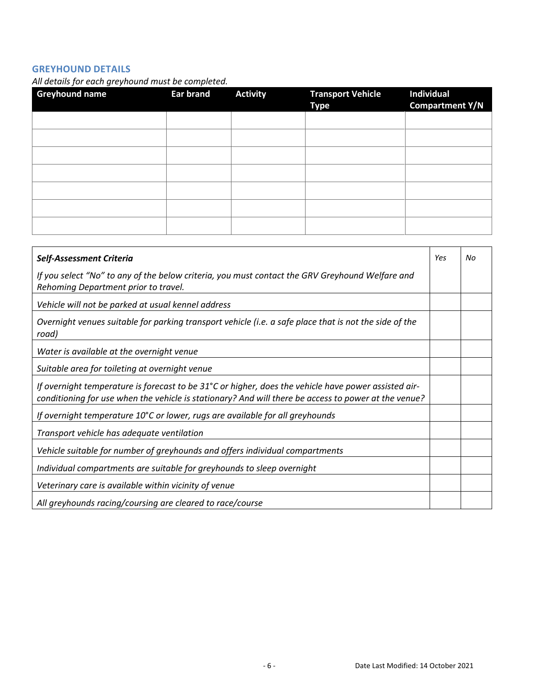### **GREYHOUND DETAILS**

*All details for each greyhound must be completed.*

| <b>Greyhound name</b> | $\cdot$<br><b>Ear brand</b> | <b>Activity</b> | <b>Transport Vehicle</b><br><b>Type</b> | <b>Individual</b><br><b>Compartment Y/N</b> |
|-----------------------|-----------------------------|-----------------|-----------------------------------------|---------------------------------------------|
|                       |                             |                 |                                         |                                             |
|                       |                             |                 |                                         |                                             |
|                       |                             |                 |                                         |                                             |
|                       |                             |                 |                                         |                                             |
|                       |                             |                 |                                         |                                             |
|                       |                             |                 |                                         |                                             |
|                       |                             |                 |                                         |                                             |

| Self-Assessment Criteria                                                                                                                                                                                               | Yes | No |
|------------------------------------------------------------------------------------------------------------------------------------------------------------------------------------------------------------------------|-----|----|
| If you select "No" to any of the below criteria, you must contact the GRV Greyhound Welfare and<br>Rehoming Department prior to travel.                                                                                |     |    |
| Vehicle will not be parked at usual kennel address                                                                                                                                                                     |     |    |
| Overnight venues suitable for parking transport vehicle (i.e. a safe place that is not the side of the<br>road)                                                                                                        |     |    |
| Water is available at the overnight venue                                                                                                                                                                              |     |    |
| Suitable area for toileting at overnight venue                                                                                                                                                                         |     |    |
| If overnight temperature is forecast to be $31^{\circ}$ C or higher, does the vehicle have power assisted air-<br>conditioning for use when the vehicle is stationary? And will there be access to power at the venue? |     |    |
| If overnight temperature 10°C or lower, rugs are available for all greyhounds                                                                                                                                          |     |    |
| Transport vehicle has adequate ventilation                                                                                                                                                                             |     |    |
| Vehicle suitable for number of greyhounds and offers individual compartments                                                                                                                                           |     |    |
| Individual compartments are suitable for greyhounds to sleep overnight                                                                                                                                                 |     |    |
| Veterinary care is available within vicinity of venue                                                                                                                                                                  |     |    |
| All greyhounds racing/coursing are cleared to race/course                                                                                                                                                              |     |    |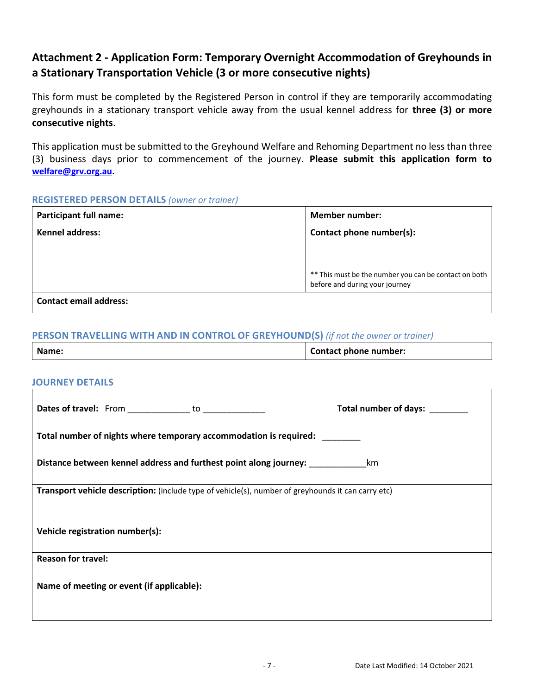## **Attachment 2 - Application Form: Temporary Overnight Accommodation of Greyhounds in a Stationary Transportation Vehicle (3 or more consecutive nights)**

This form must be completed by the Registered Person in control if they are temporarily accommodating greyhounds in a stationary transport vehicle away from the usual kennel address for **three (3) or more consecutive nights**.

This application must be submitted to the Greyhound Welfare and Rehoming Department no less than three (3) business days prior to commencement of the journey. **Please submit this application form to [welfare@grv.org.au.](mailto:welfare@grv.org.au)**

### **REGISTERED PERSON DETAILS** *(owner or trainer)*

| <b>Participant full name:</b> | <b>Member number:</b>                                                                     |
|-------------------------------|-------------------------------------------------------------------------------------------|
| <b>Kennel address:</b>        | Contact phone number(s):                                                                  |
|                               |                                                                                           |
|                               |                                                                                           |
|                               | ** This must be the number you can be contact on both  <br>before and during your journey |
| <b>Contact email address:</b> |                                                                                           |

### **PERSON TRAVELLING WITH AND IN CONTROL OF GREYHOUND(S)** *(if not the owner or trainer)*

| Name:                                                                                              | <b>Contact phone number:</b> |  |  |
|----------------------------------------------------------------------------------------------------|------------------------------|--|--|
|                                                                                                    |                              |  |  |
| <b>JOURNEY DETAILS</b>                                                                             |                              |  |  |
| Dates of travel: From ______________ to ______________                                             | Total number of days:        |  |  |
| Total number of nights where temporary accommodation is required:                                  |                              |  |  |
| Distance between kennel address and furthest point along journey: _____________________km          |                              |  |  |
| Transport vehicle description: (include type of vehicle(s), number of greyhounds it can carry etc) |                              |  |  |
| Vehicle registration number(s):                                                                    |                              |  |  |
| <b>Reason for travel:</b>                                                                          |                              |  |  |
| Name of meeting or event (if applicable):                                                          |                              |  |  |